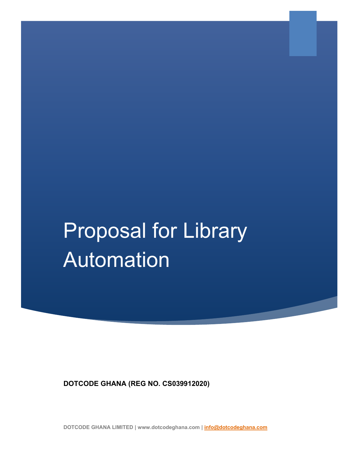# Proposal for Library Automation

**DOTCODE GHANA (REG NO. CS039912020)**

**DOTCODE GHANA LIMITED | www.dotcodeghana.com | [info@dotcodeghana.com](mailto:info@dotcodeghana.com)**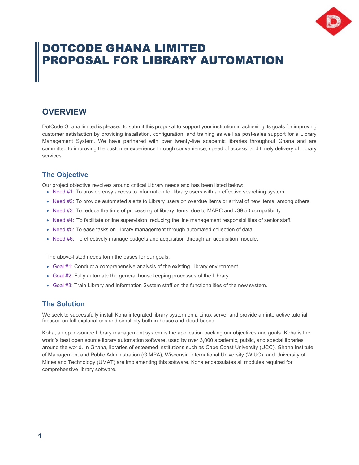

# DOTCODE GHANA LIMITED PROPOSAL FOR LIBRARY AUTOMATION

### **OVERVIEW**

DotCode Ghana limited is pleased to submit this proposal to support your institution in achieving its goals for improving customer satisfaction by providing installation, configuration, and training as well as post-sales support for a Library Management System. We have partnered with over twenty-five academic libraries throughout Ghana and are committed to improving the customer experience through convenience, speed of access, and timely delivery of Library services.

#### **The Objective**

Our project objective revolves around critical Library needs and has been listed below:

- Need #1: To provide easy access to information for library users with an effective searching system.
- Need #2: To provide automated alerts to Library users on overdue items or arrival of new items, among others.
- Need #3: To reduce the time of processing of library items, due to MARC and z39.50 compatibility.
- Need #4: To facilitate online supervision, reducing the line management responsibilities of senior staff.
- Need #5: To ease tasks on Library management through automated collection of data.
- Need #6: To effectively manage budgets and acquisition through an acquisition module.

The above-listed needs form the bases for our goals:

- Goal #1: Conduct a comprehensive analysis of the existing Library environment
- Goal #2: Fully automate the general housekeeping processes of the Library
- Goal #3: Train Library and Information System staff on the functionalities of the new system.

#### **The Solution**

We seek to successfully install Koha integrated library system on a Linux server and provide an interactive tutorial focused on full explanations and simplicity both in-house and cloud-based.

Koha, an open-source Library management system is the application backing our objectives and goals. Koha is the world's best open source library automation software, used by over 3,000 academic, public, and special libraries around the world. In Ghana, libraries of esteemed institutions such as Cape Coast University (UCC), Ghana Institute of Management and Public Administration (GIMPA), Wisconsin International University (WIUC), and University of Mines and Technology (UMAT) are implementing this software. Koha encapsulates all modules required for comprehensive library software.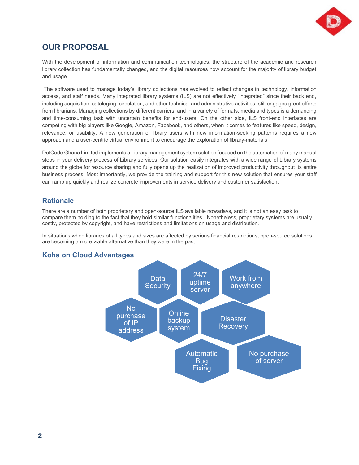

# **OUR PROPOSAL**

With the development of information and communication technologies, the structure of the academic and research library collection has fundamentally changed, and the digital resources now account for the majority of library budget and usage.

The software used to manage today's library collections has evolved to reflect changes in technology, information access, and staff needs. Many integrated library systems (ILS) are not effectively "integrated" since their back end, including acquisition, cataloging, circulation, and other technical and administrative activities, still engages great efforts from librarians. Managing collections by different carriers, and in a variety of formats, media and types is a demanding and time-consuming task with uncertain benefits for end-users. On the other side, ILS front-end interfaces are competing with big players like Google, Amazon, Facebook, and others, when it comes to features like speed, design, relevance, or usability. A new generation of library users with new information-seeking patterns requires a new approach and a user-centric virtual environment to encourage the exploration of library-materials

DotCode Ghana Limited implements a Library management system solution focused on the automation of many manual steps in your delivery process of Library services. Our solution easily integrates with a wide range of Library systems around the globe for resource sharing and fully opens up the realization of improved productivity throughout its entire business process. Most importantly, we provide the training and support for this new solution that ensures your staff can ramp up quickly and realize concrete improvements in service delivery and customer satisfaction.

#### **Rationale**

There are a number of both proprietary and open-source ILS available nowadays, and it is not an easy task to compare them holding to the fact that they hold similar functionalities. Nonetheless, proprietary systems are usually costly, protected by copyright, and have restrictions and limitations on usage and distribution.

In situations when libraries of all types and sizes are affected by serious financial restrictions, open-source solutions are becoming a more viable alternative than they were in the past.



#### **Koha on Cloud Advantages**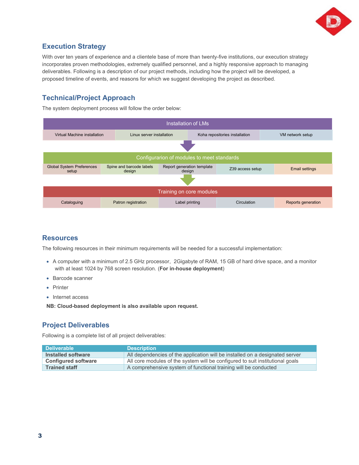

#### **Execution Strategy**

With over ten years of experience and a clientele base of more than twenty-five institutions, our execution strategy incorporates proven methodologies, extremely qualified personnel, and a highly responsive approach to managing deliverables. Following is a description of our project methods, including how the project will be developed, a proposed timeline of events, and reasons for which we suggest developing the project as described.

#### **Technical/Project Approach**

The system deployment process will follow the order below:



#### **Resources**

The following resources in their minimum requirements will be needed for a successful implementation:

- A computer with a minimum of 2.5 GHz processor, 2Gigabyte of RAM, 15 GB of hard drive space, and a monitor with at least 1024 by 768 screen resolution. (**For in-house deployment**)
- Barcode scanner
- Printer
- Internet access

**NB: Cloud-based deployment is also available upon request.** 

#### **Project Deliverables**

Following is a complete list of all project deliverables:

| <b>Deliverable</b>         | <b>Description</b>                                                            |
|----------------------------|-------------------------------------------------------------------------------|
| Installed software         | All dependencies of the application will be installed on a designated server  |
| <b>Configured software</b> | All core modules of the system will be configured to suit institutional goals |
| <b>Trained staff</b>       | A comprehensive system of functional training will be conducted               |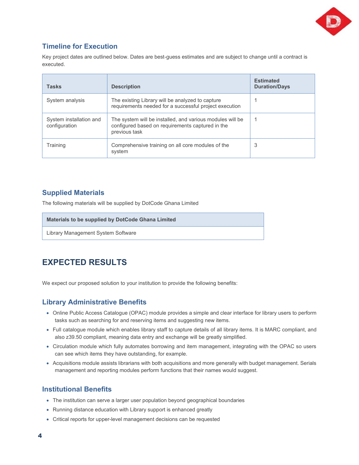

#### **Timeline for Execution**

Key project dates are outlined below. Dates are best-guess estimates and are subject to change until a contract is executed.

| <b>Tasks</b>                             | <b>Description</b>                                                                                                             | <b>Estimated</b><br><b>Duration/Days</b> |
|------------------------------------------|--------------------------------------------------------------------------------------------------------------------------------|------------------------------------------|
| System analysis                          | The existing Library will be analyzed to capture<br>requirements needed for a successful project execution                     |                                          |
| System installation and<br>configuration | The system will be installed, and various modules will be<br>configured based on requirements captured in the<br>previous task |                                          |
| Training                                 | Comprehensive training on all core modules of the<br>system                                                                    | 3                                        |

#### **Supplied Materials**

The following materials will be supplied by DotCode Ghana Limited

#### **Materials to be supplied by DotCode Ghana Limited**

Library Management System Software

# **EXPECTED RESULTS**

We expect our proposed solution to your institution to provide the following benefits:

#### **Library Administrative Benefits**

- Online Public Access Catalogue (OPAC) module provides a simple and clear interface for library users to perform tasks such as searching for and reserving items and suggesting new items.
- Full catalogue module which enables library staff to capture details of all library items. It is MARC compliant, and also z39.50 compliant, meaning data entry and exchange will be greatly simplified.
- Circulation module which fully automates borrowing and item management, integrating with the OPAC so users can see which items they have outstanding, for example.
- Acquisitions module assists librarians with both acquisitions and more generally with budget management. Serials management and reporting modules perform functions that their names would suggest.

#### **Institutional Benefits**

- The institution can serve a larger user population beyond geographical boundaries
- Running distance education with Library support is enhanced greatly
- Critical reports for upper-level management decisions can be requested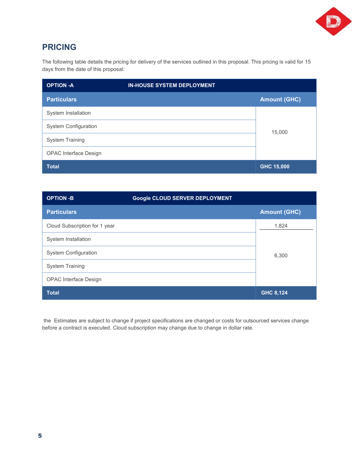

# **PRICING**

The following table details the pricing for delivery of the services outlined in this proposal. This pricing is valid for 15 days from the date of this proposal:

| <b>OPTION -A</b>             | <b>IN-HOUSE SYSTEM DEPLOYMENT</b> |                     |
|------------------------------|-----------------------------------|---------------------|
| <b>Particulars</b>           |                                   | <b>Amount (GHC)</b> |
| System Installation          |                                   |                     |
| <b>System Configuration</b>  |                                   | 15,000              |
| <b>System Training</b>       |                                   |                     |
| <b>OPAC Interface Design</b> |                                   |                     |
| <b>Total</b>                 |                                   | GHC 15,000          |

| <b>OPTION -B</b>              | <b>Google CLOUD SERVER DEPLOYMENT</b> |                     |
|-------------------------------|---------------------------------------|---------------------|
| <b>Particulars</b>            |                                       | <b>Amount (GHC)</b> |
| Cloud Subscription for 1 year |                                       | 1,824               |
| System Installation           |                                       |                     |
| <b>System Configuration</b>   |                                       | 6,300               |
| <b>System Training</b>        |                                       |                     |
| <b>OPAC Interface Design</b>  |                                       |                     |
| <b>Total</b>                  |                                       | <b>GHC 8,124</b>    |

the Estimates are subject to change if project specifications are changed or costs for outsourced services change before a contract is executed. Cloud subscription may change due to change in dollar rate.